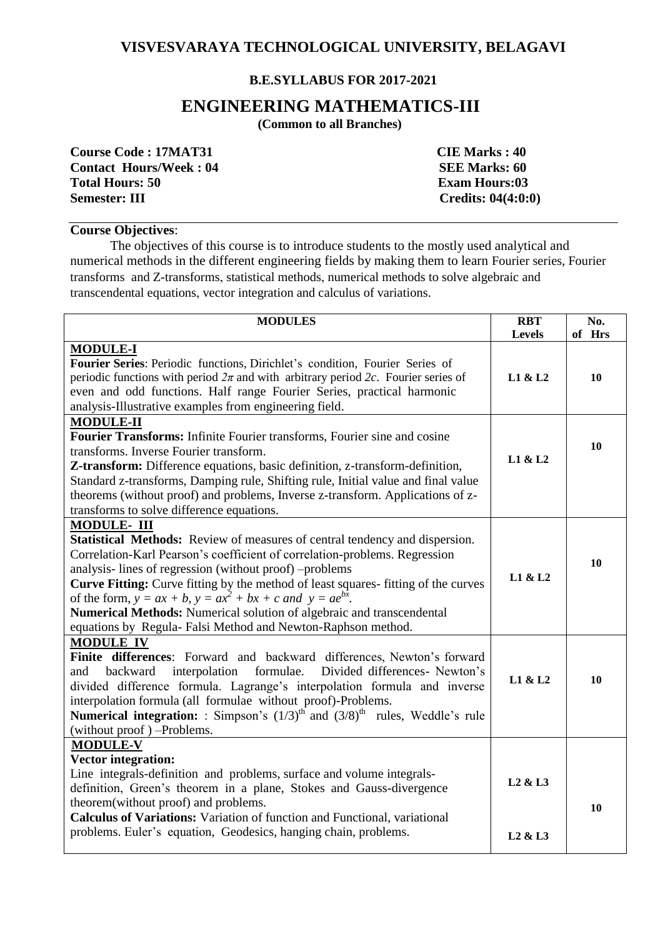## **VISVESVARAYA TECHNOLOGICAL UNIVERSITY, BELAGAVI**

## **B.E.SYLLABUS FOR 2017-2021**

# **ENGINEERING MATHEMATICS-III**

 **(Common to all Branches)**

| <b>Course Code: 17MAT31</b>   | <b>CIE Marks: 40</b>                   |
|-------------------------------|----------------------------------------|
| <b>Contact Hours/Week: 04</b> | <b>SEE Marks: 60</b>                   |
| <b>Total Hours: 50</b>        | <b>Exam Hours:03</b>                   |
| <b>Semester: III</b>          | <b>Credits: <math>04(4:0:0)</math></b> |

#### **Course Objectives**:

The objectives of this course is to introduce students to the mostly used analytical and numerical methods in the different engineering fields by making them to learn Fourier series, Fourier transforms and Z-transforms, statistical methods, numerical methods to solve algebraic and transcendental equations, vector integration and calculus of variations.

| <b>MODULES</b>                                                                               |                                 | No.<br>of Hrs |
|----------------------------------------------------------------------------------------------|---------------------------------|---------------|
| <b>MODULE-I</b>                                                                              | <b>Levels</b>                   |               |
| Fourier Series: Periodic functions, Dirichlet's condition, Fourier Series of                 |                                 |               |
| periodic functions with period $2\pi$ and with arbitrary period 2c. Fourier series of        |                                 | 10            |
| even and odd functions. Half range Fourier Series, practical harmonic                        |                                 |               |
| analysis-Illustrative examples from engineering field.                                       |                                 |               |
| <b>MODULE-II</b>                                                                             |                                 |               |
| Fourier Transforms: Infinite Fourier transforms, Fourier sine and cosine                     |                                 |               |
| transforms. Inverse Fourier transform.                                                       |                                 | 10            |
| Z-transform: Difference equations, basic definition, z-transform-definition,                 |                                 |               |
| Standard z-transforms, Damping rule, Shifting rule, Initial value and final value            |                                 |               |
| theorems (without proof) and problems, Inverse z-transform. Applications of z-               |                                 |               |
| transforms to solve difference equations.                                                    |                                 |               |
| <b>MODULE- III</b>                                                                           |                                 |               |
| <b>Statistical Methods:</b> Review of measures of central tendency and dispersion.           |                                 |               |
| Correlation-Karl Pearson's coefficient of correlation-problems. Regression                   |                                 | 10            |
| analysis-lines of regression (without proof) -problems                                       |                                 |               |
| Curve Fitting: Curve fitting by the method of least squares-fitting of the curves            |                                 |               |
| of the form, $y = ax + b$ , $y = ax^2 + bx + c$ and $y = ae^{bx}$ .                          |                                 |               |
| Numerical Methods: Numerical solution of algebraic and transcendental                        |                                 |               |
| equations by Regula- Falsi Method and Newton-Raphson method.                                 |                                 |               |
| <b>MODULE IV</b>                                                                             |                                 |               |
| Finite differences: Forward and backward differences, Newton's forward                       |                                 |               |
| Divided differences- Newton's<br>backward<br>interpolation formulae.<br>and                  |                                 | 10            |
| divided difference formula. Lagrange's interpolation formula and inverse                     |                                 |               |
| interpolation formula (all formulae without proof)-Problems.                                 |                                 |               |
| <b>Numerical integration:</b> : Simpson's $(1/3)^{th}$ and $(3/8)^{th}$ rules, Weddle's rule |                                 |               |
| (without proof) -Problems.<br><b>MODULE-V</b>                                                |                                 |               |
| <b>Vector integration:</b>                                                                   |                                 |               |
| Line integrals-definition and problems, surface and volume integrals-                        |                                 |               |
| definition, Green's theorem in a plane, Stokes and Gauss-divergence                          |                                 |               |
| theorem (without proof) and problems.                                                        |                                 |               |
| Calculus of Variations: Variation of function and Functional, variational                    |                                 | 10            |
| problems. Euler's equation, Geodesics, hanging chain, problems.                              |                                 |               |
|                                                                                              | L <sub>2</sub> & L <sub>3</sub> |               |